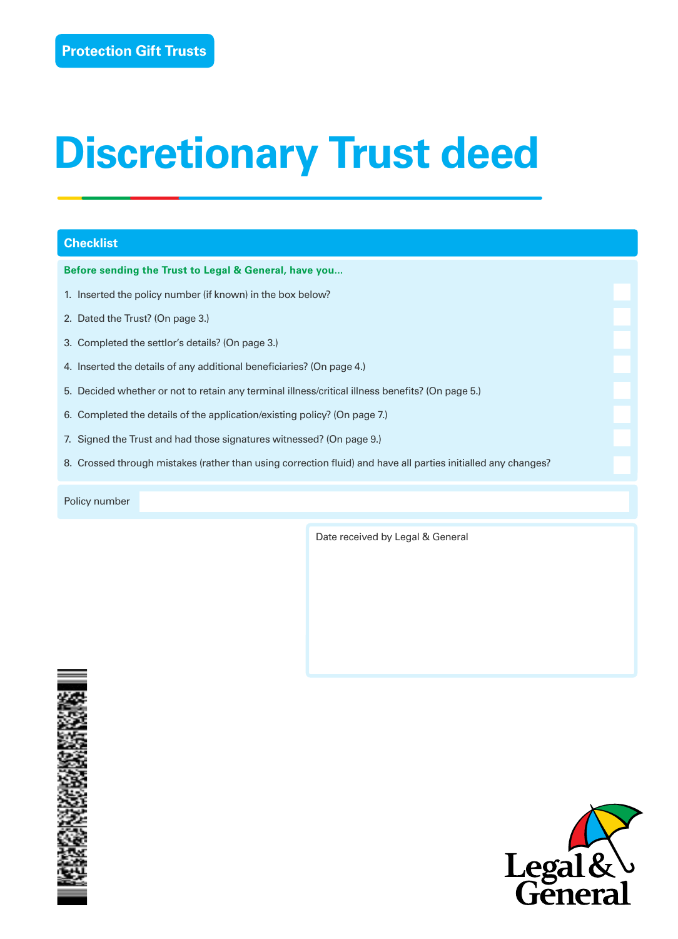# **Discretionary Trust deed**

# **Checklist**

**Before sending the Trust to Legal & General, have you...**

- 1. Inserted the policy number (if known) in the box below?
- 2. Dated the Trust? (On page 3.)
- 3. Completed the settlor's details? (On page 3.)
- 4. Inserted the details of any additional beneficiaries? (On page 4.)
- 5. Decided whether or not to retain any terminal illness/critical illness benefits? (On page 5.)
- 6. Completed the details of the application/existing policy? (On page 7.)
- 7. Signed the Trust and had those signatures witnessed? (On page 9.)
- 8. Crossed through mistakes (rather than using correction fluid) and have all parties initialled any changes?

Policy number

Date received by Legal & General



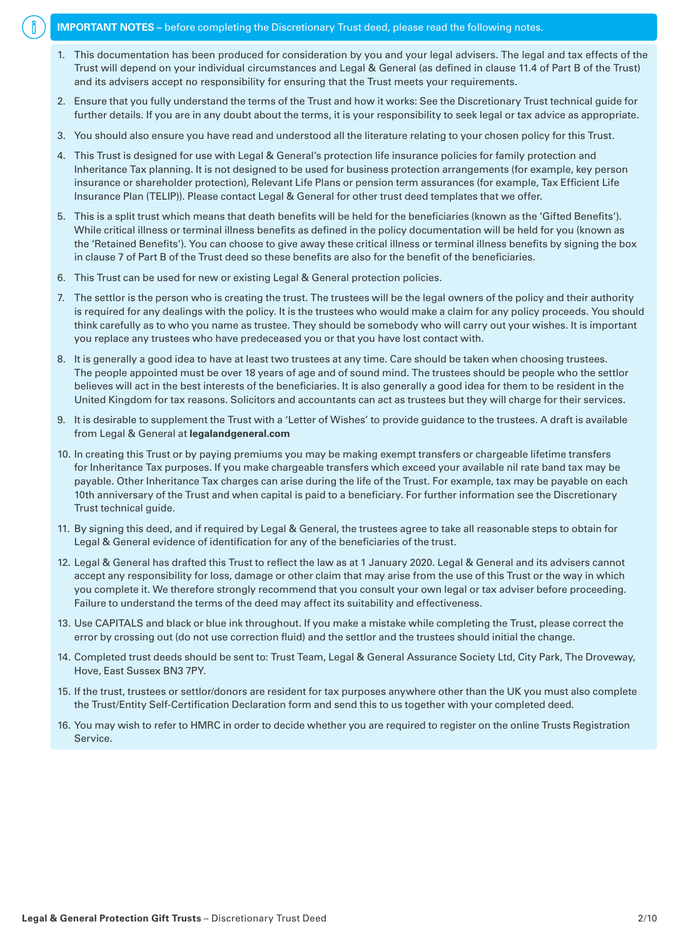## **IMPORTANT NOTES –** before completing the Discretionary Trust deed, please read the following notes.

- 1. This documentation has been produced for consideration by you and your legal advisers. The legal and tax effects of the Trust will depend on your individual circumstances and Legal & General (as defined in clause 11.4 of Part B of the Trust) and its advisers accept no responsibility for ensuring that the Trust meets your requirements.
- 2. Ensure that you fully understand the terms of the Trust and how it works: See the Discretionary Trust technical guide for further details. If you are in any doubt about the terms, it is your responsibility to seek legal or tax advice as appropriate.
- 3. You should also ensure you have read and understood all the literature relating to your chosen policy for this Trust.
- 4. This Trust is designed for use with Legal & General's protection life insurance policies for family protection and Inheritance Tax planning. It is not designed to be used for business protection arrangements (for example, key person insurance or shareholder protection), Relevant Life Plans or pension term assurances (for example, Tax Efficient Life Insurance Plan (TELIP)). Please contact Legal & General for other trust deed templates that we offer.
- 5. This is a split trust which means that death benefits will be held for the beneficiaries (known as the 'Gifted Benefits'). While critical illness or terminal illness benefits as defined in the policy documentation will be held for you (known as the 'Retained Benefits'). You can choose to give away these critical illness or terminal illness benefits by signing the box in clause 7 of Part B of the Trust deed so these benefits are also for the benefit of the beneficiaries.
- 6. This Trust can be used for new or existing Legal & General protection policies.
- 7. The settlor is the person who is creating the trust. The trustees will be the legal owners of the policy and their authority is required for any dealings with the policy. It is the trustees who would make a claim for any policy proceeds. You should think carefully as to who you name as trustee. They should be somebody who will carry out your wishes. It is important you replace any trustees who have predeceased you or that you have lost contact with.
- 8. It is generally a good idea to have at least two trustees at any time. Care should be taken when choosing trustees. The people appointed must be over 18 years of age and of sound mind. The trustees should be people who the settlor believes will act in the best interests of the beneficiaries. It is also generally a good idea for them to be resident in the United Kingdom for tax reasons. Solicitors and accountants can act as trustees but they will charge for their services.
- 9. It is desirable to supplement the Trust with a 'Letter of Wishes' to provide guidance to the trustees. A draft is available from Legal & General at **legalandgeneral.com**
- 10. In creating this Trust or by paying premiums you may be making exempt transfers or chargeable lifetime transfers for Inheritance Tax purposes. If you make chargeable transfers which exceed your available nil rate band tax may be payable. Other Inheritance Tax charges can arise during the life of the Trust. For example, tax may be payable on each 10th anniversary of the Trust and when capital is paid to a beneficiary. For further information see the Discretionary Trust technical guide.
- 11. By signing this deed, and if required by Legal & General, the trustees agree to take all reasonable steps to obtain for Legal & General evidence of identification for any of the beneficiaries of the trust.
- 12. Legal & General has drafted this Trust to reflect the law as at 1 January 2020. Legal & General and its advisers cannot accept any responsibility for loss, damage or other claim that may arise from the use of this Trust or the way in which you complete it. We therefore strongly recommend that you consult your own legal or tax adviser before proceeding. Failure to understand the terms of the deed may affect its suitability and effectiveness.
- 13. Use CAPITALS and black or blue ink throughout. If you make a mistake while completing the Trust, please correct the error by crossing out (do not use correction fluid) and the settlor and the trustees should initial the change.
- 14. Completed trust deeds should be sent to: Trust Team, Legal & General Assurance Society Ltd, City Park, The Droveway, Hove, East Sussex BN3 7PY.
- 15. If the trust, trustees or settlor/donors are resident for tax purposes anywhere other than the UK you must also complete the Trust/Entity Self-Certification Declaration form and send this to us together with your completed deed.
- 16. You may wish to refer to HMRC in order to decide whether you are required to register on the online Trusts Registration Service.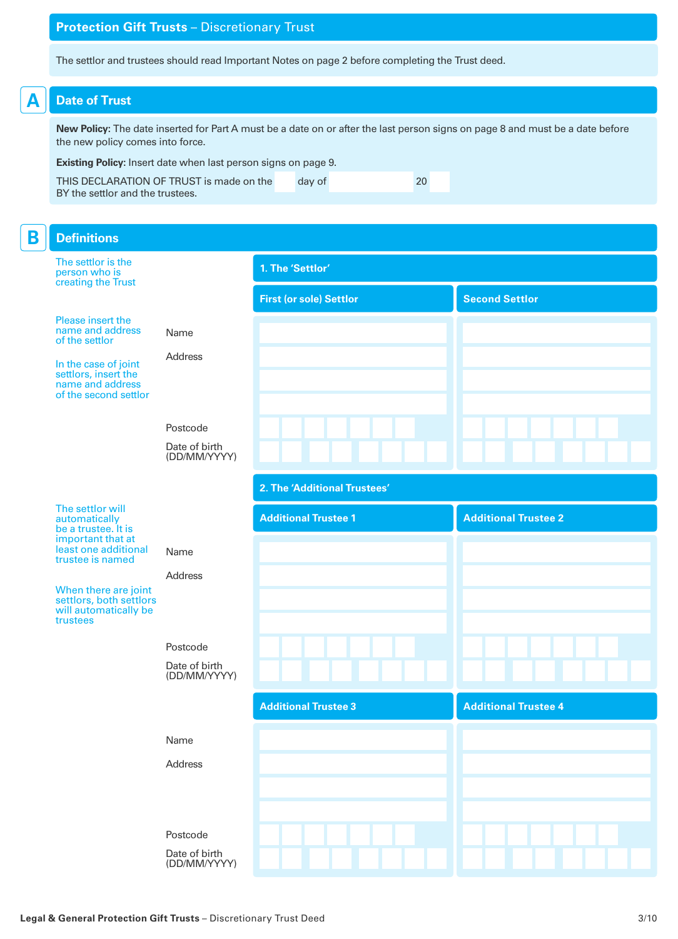# **Protection Gift Trusts** – Discretionary Trust

The settlor and trustees should read Important Notes on page 2 before completing the Trust deed.

# **A Date of Trust**

**New Policy:** The date inserted for Part A must be a date on or after the last person signs on page 8 and must be a date before the new policy comes into force.

**Existing Policy:** Insert date when last person signs on page 9.

THIS DECLARATION OF TRUST is made on the day of 20 BY the settlor and the trustees.

| The settlor is the<br>1. The 'Settlor'<br>person who is<br>creating the Trust<br><b>Second Settlor</b><br><b>First (or sole) Settlor</b><br>Please insert the<br>name and address<br>Name<br>of the settlor<br>Address<br>In the case of joint<br>settlors, insert the<br>name and address<br>of the second settlor<br>Postcode<br>Date of birth<br>(DD/MM/YYYY)<br>2. The 'Additional Trustees'<br>The settlor will<br><b>Additional Trustee 2</b><br><b>Additional Trustee 1</b><br>automatically<br>be a trustee. It is<br>important that at<br>least one additional<br>Name<br>trustee is named<br><b>Address</b><br>When there are joint<br>settlors, both settlors<br>will automatically be<br>trustees<br>Postcode<br>Date of birth<br>(DD/MM/YYYY)<br><b>Additional Trustee 4</b><br><b>Additional Trustee 3</b><br>Name<br>Address<br>Postcode | B | <b>Definitions</b> |  |  |
|---------------------------------------------------------------------------------------------------------------------------------------------------------------------------------------------------------------------------------------------------------------------------------------------------------------------------------------------------------------------------------------------------------------------------------------------------------------------------------------------------------------------------------------------------------------------------------------------------------------------------------------------------------------------------------------------------------------------------------------------------------------------------------------------------------------------------------------------------------|---|--------------------|--|--|
|                                                                                                                                                                                                                                                                                                                                                                                                                                                                                                                                                                                                                                                                                                                                                                                                                                                         |   |                    |  |  |
|                                                                                                                                                                                                                                                                                                                                                                                                                                                                                                                                                                                                                                                                                                                                                                                                                                                         |   |                    |  |  |
|                                                                                                                                                                                                                                                                                                                                                                                                                                                                                                                                                                                                                                                                                                                                                                                                                                                         |   |                    |  |  |
|                                                                                                                                                                                                                                                                                                                                                                                                                                                                                                                                                                                                                                                                                                                                                                                                                                                         |   |                    |  |  |
|                                                                                                                                                                                                                                                                                                                                                                                                                                                                                                                                                                                                                                                                                                                                                                                                                                                         |   |                    |  |  |
|                                                                                                                                                                                                                                                                                                                                                                                                                                                                                                                                                                                                                                                                                                                                                                                                                                                         |   |                    |  |  |
|                                                                                                                                                                                                                                                                                                                                                                                                                                                                                                                                                                                                                                                                                                                                                                                                                                                         |   |                    |  |  |
|                                                                                                                                                                                                                                                                                                                                                                                                                                                                                                                                                                                                                                                                                                                                                                                                                                                         |   |                    |  |  |
|                                                                                                                                                                                                                                                                                                                                                                                                                                                                                                                                                                                                                                                                                                                                                                                                                                                         |   |                    |  |  |
|                                                                                                                                                                                                                                                                                                                                                                                                                                                                                                                                                                                                                                                                                                                                                                                                                                                         |   |                    |  |  |
|                                                                                                                                                                                                                                                                                                                                                                                                                                                                                                                                                                                                                                                                                                                                                                                                                                                         |   |                    |  |  |
|                                                                                                                                                                                                                                                                                                                                                                                                                                                                                                                                                                                                                                                                                                                                                                                                                                                         |   |                    |  |  |
|                                                                                                                                                                                                                                                                                                                                                                                                                                                                                                                                                                                                                                                                                                                                                                                                                                                         |   |                    |  |  |
| Date of birth<br>(DD/MM/YYYY)                                                                                                                                                                                                                                                                                                                                                                                                                                                                                                                                                                                                                                                                                                                                                                                                                           |   |                    |  |  |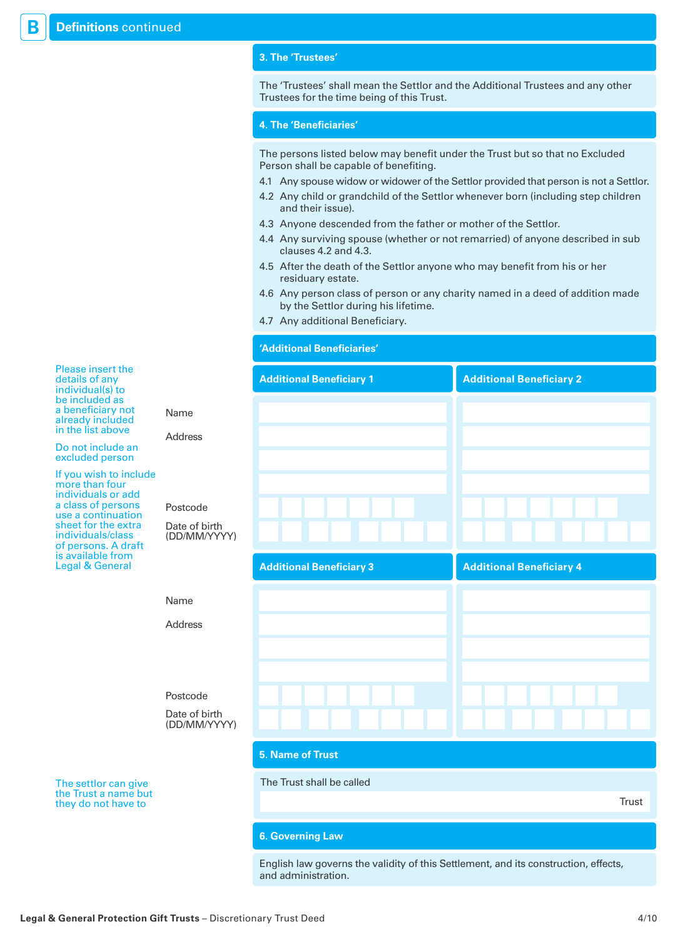# **3. The 'Trustees'**

The 'Trustees' shall mean the Settlor and the Additional Trustees and any other Trustees for the time being of this Trust.

## **4. The 'Beneficiaries'**

The persons listed below may benefit under the Trust but so that no Excluded Person shall be capable of benefiting.

- 4.1 Any spouse widow or widower of the Settlor provided that person is not a Settlor.
- 4.2 Any child or grandchild of the Settlor whenever born (including step children and their issue).
- 4.3 Anyone descended from the father or mother of the Settlor.
- 4.4 Any surviving spouse (whether or not remarried) of anyone described in sub clauses 4.2 and 4.3.
- 4.5 After the death of the Settlor anyone who may benefit from his or her residuary estate.
- 4.6 Any person class of person or any charity named in a deed of addition made by the Settlor during his lifetime.
- 4.7 Any additional Beneficiary.

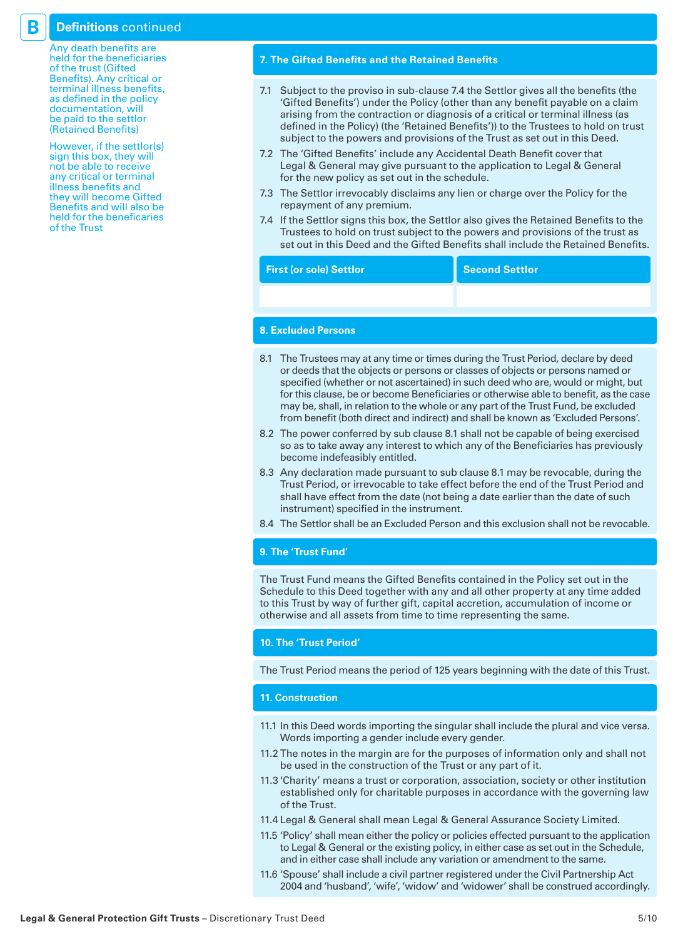# **B Definitions** continued

Any death benefits are held for the beneficiaries of the trust (Gifted Benefits). Any critical or terminal illness benefits, as defined in the policy documentation, will be paid to the settlor (Retained Benefits)

However, if the settlor(s) sign this box, they will not be able to receive any critical or terminal illness benefits and they will become Gifted Benefits and will also be held for the beneficaries of the Trust

# **7. The Gifted Benefits and the Retained Benefits**

- 7.1 Subject to the proviso in sub-clause 7.4 the Settlor gives all the benefits (the 'Gifted Benefits') under the Policy (other than any benefit payable on a claim arising from the contraction or diagnosis of a critical or terminal illness (as defined in the Policy) (the 'Retained Benefits')) to the Trustees to hold on trust subject to the powers and provisions of the Trust as set out in this Deed.
- 7.2 The 'Gifted Benefits' include any Accidental Death Benefit cover that Legal & General may give pursuant to the application to Legal & General for the new policy as set out in the schedule.
- 7.3 The Settlor irrevocably disclaims any lien or charge over the Policy for the repayment of any premium.
- 7.4 If the Settlor signs this box, the Settlor also gives the Retained Benefits to the Trustees to hold on trust subject to the powers and provisions of the trust as set out in this Deed and the Gifted Benefits shall include the Retained Benefits.

| <b>First (or sole) Settlor</b> | <b>Second Settlor</b> |
|--------------------------------|-----------------------|
|                                |                       |

# **8. Excluded Persons**

- 8.1 The Trustees may at any time or times during the Trust Period, declare by deed or deeds that the objects or persons or classes of objects or persons named or specified (whether or not ascertained) in such deed who are, would or might, but for this clause, be or become Beneficiaries or otherwise able to benefit, as the case may be, shall, in relation to the whole or any part of the Trust Fund, be excluded from benefit (both direct and indirect) and shall be known as 'Excluded Persons'.
- 8.2 The power conferred by sub clause 8.1 shall not be capable of being exercised so as to take away any interest to which any of the Beneficiaries has previously become indefeasibly entitled.
- 8.3 Any declaration made pursuant to sub clause 8.1 may be revocable, during the Trust Period, or irrevocable to take effect before the end of the Trust Period and shall have effect from the date (not being a date earlier than the date of such instrument) specified in the instrument.
- 8.4 The Settlor shall be an Excluded Person and this exclusion shall not be revocable.

# **9. The 'Trust Fund'**

The Trust Fund means the Gifted Benefits contained in the Policy set out in the Schedule to this Deed together with any and all other property at any time added to this Trust by way of further gift, capital accretion, accumulation of income or otherwise and all assets from time to time representing the same.

## **10. The 'Trust Period'**

The Trust Period means the period of 125 years beginning with the date of this Trust.

#### **11. Construction**

- 11.1 In this Deed words importing the singular shall include the plural and vice versa. Words importing a gender include every gender.
- 11.2 The notes in the margin are for the purposes of information only and shall not be used in the construction of the Trust or any part of it.
- 11.3 'Charity' means a trust or corporation, association, society or other institution established only for charitable purposes in accordance with the governing law of the Trust.
- 11.4 Legal & General shall mean Legal & General Assurance Society Limited.
- 11.5 'Policy' shall mean either the policy or policies effected pursuant to the application to Legal & General or the existing policy, in either case as set out in the Schedule, and in either case shall include any variation or amendment to the same.
- 11.6 'Spouse' shall include a civil partner registered under the Civil Partnership Act 2004 and 'husband', 'wife', 'widow' and 'widower' shall be construed accordingly.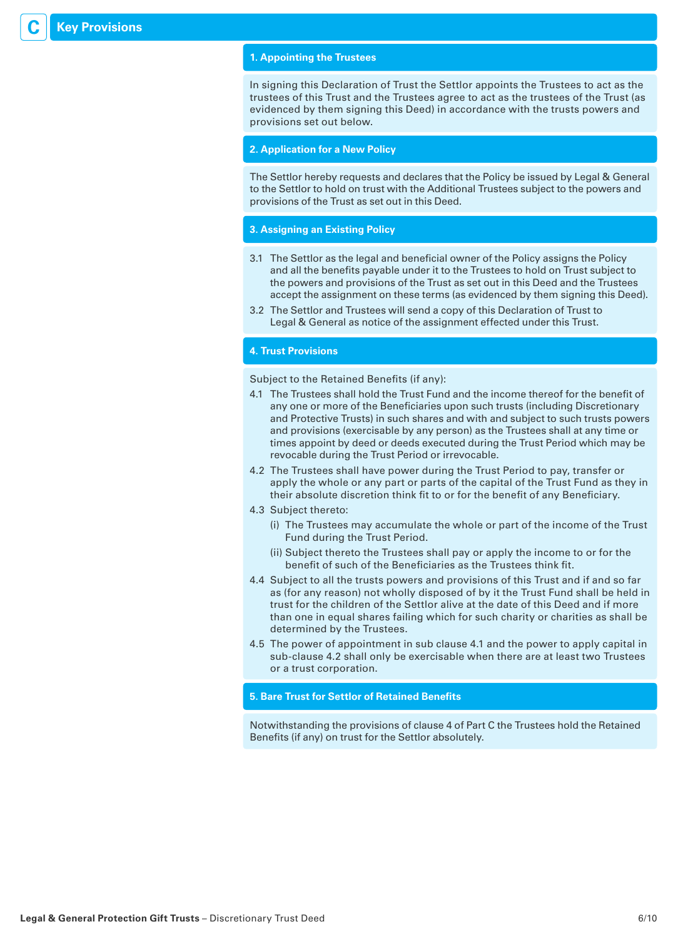# **1. Appointing the Trustees**

In signing this Declaration of Trust the Settlor appoints the Trustees to act as the trustees of this Trust and the Trustees agree to act as the trustees of the Trust (as evidenced by them signing this Deed) in accordance with the trusts powers and provisions set out below.

#### **2. Application for a New Policy**

The Settlor hereby requests and declares that the Policy be issued by Legal & General to the Settlor to hold on trust with the Additional Trustees subject to the powers and provisions of the Trust as set out in this Deed.

# **3. Assigning an Existing Policy**

- 3.1 The Settlor as the legal and beneficial owner of the Policy assigns the Policy and all the benefits payable under it to the Trustees to hold on Trust subject to the powers and provisions of the Trust as set out in this Deed and the Trustees accept the assignment on these terms (as evidenced by them signing this Deed).
- 3.2 The Settlor and Trustees will send a copy of this Declaration of Trust to Legal & General as notice of the assignment effected under this Trust.

# **4. Trust Provisions**

Subject to the Retained Benefits (if any):

- 4.1 The Trustees shall hold the Trust Fund and the income thereof for the benefit of any one or more of the Beneficiaries upon such trusts (including Discretionary and Protective Trusts) in such shares and with and subject to such trusts powers and provisions (exercisable by any person) as the Trustees shall at any time or times appoint by deed or deeds executed during the Trust Period which may be revocable during the Trust Period or irrevocable.
- 4.2 The Trustees shall have power during the Trust Period to pay, transfer or apply the whole or any part or parts of the capital of the Trust Fund as they in their absolute discretion think fit to or for the benefit of any Beneficiary.
- 4.3 Subject thereto:
	- (i) The Trustees may accumulate the whole or part of the income of the Trust Fund during the Trust Period.
	- (ii) Subject thereto the Trustees shall pay or apply the income to or for the benefit of such of the Beneficiaries as the Trustees think fit.
- 4.4 Subject to all the trusts powers and provisions of this Trust and if and so far as (for any reason) not wholly disposed of by it the Trust Fund shall be held in trust for the children of the Settlor alive at the date of this Deed and if more than one in equal shares failing which for such charity or charities as shall be determined by the Trustees.
- 4.5 The power of appointment in sub clause 4.1 and the power to apply capital in sub-clause 4.2 shall only be exercisable when there are at least two Trustees or a trust corporation.

#### **5. Bare Trust for Settlor of Retained Benefits**

Notwithstanding the provisions of clause 4 of Part C the Trustees hold the Retained Benefits (if any) on trust for the Settlor absolutely.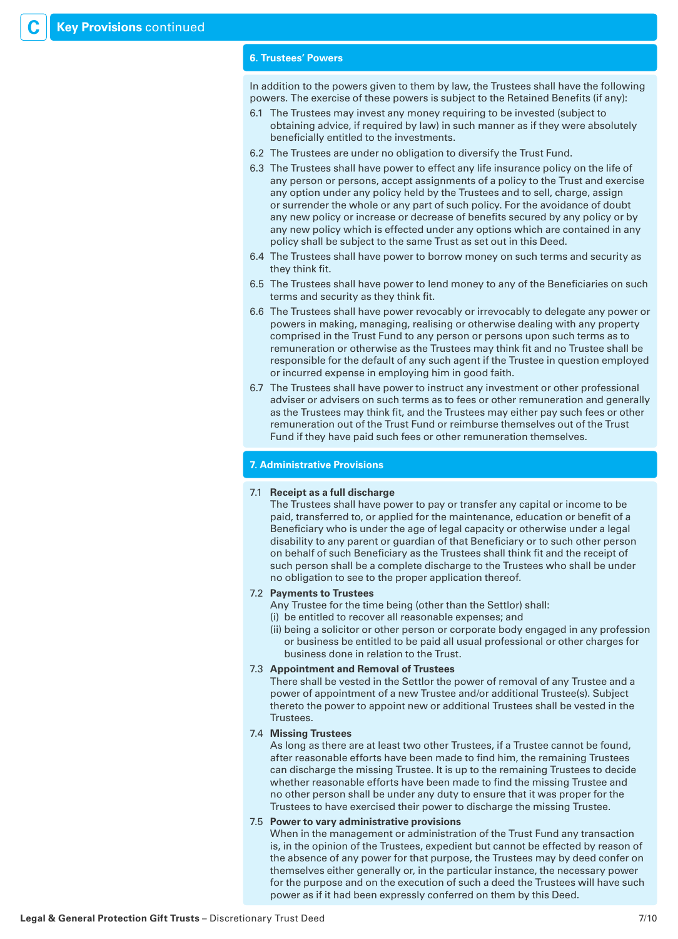#### **6. Trustees' Powers**

In addition to the powers given to them by law, the Trustees shall have the following powers. The exercise of these powers is subject to the Retained Benefits (if any):

- 6.1 The Trustees may invest any money requiring to be invested (subject to obtaining advice, if required by law) in such manner as if they were absolutely beneficially entitled to the investments.
- 6.2 The Trustees are under no obligation to diversify the Trust Fund.
- 6.3 The Trustees shall have power to effect any life insurance policy on the life of any person or persons, accept assignments of a policy to the Trust and exercise any option under any policy held by the Trustees and to sell, charge, assign or surrender the whole or any part of such policy. For the avoidance of doubt any new policy or increase or decrease of benefits secured by any policy or by any new policy which is effected under any options which are contained in any policy shall be subject to the same Trust as set out in this Deed.
- 6.4 The Trustees shall have power to borrow money on such terms and security as they think fit.
- 6.5 The Trustees shall have power to lend money to any of the Beneficiaries on such terms and security as they think fit.
- 6.6 The Trustees shall have power revocably or irrevocably to delegate any power or powers in making, managing, realising or otherwise dealing with any property comprised in the Trust Fund to any person or persons upon such terms as to remuneration or otherwise as the Trustees may think fit and no Trustee shall be responsible for the default of any such agent if the Trustee in question employed or incurred expense in employing him in good faith.
- 6.7 The Trustees shall have power to instruct any investment or other professional adviser or advisers on such terms as to fees or other remuneration and generally as the Trustees may think fit, and the Trustees may either pay such fees or other remuneration out of the Trust Fund or reimburse themselves out of the Trust Fund if they have paid such fees or other remuneration themselves.

#### **7. Administrative Provisions**

#### 7.1 **Receipt as a full discharge**

 The Trustees shall have power to pay or transfer any capital or income to be paid, transferred to, or applied for the maintenance, education or benefit of a Beneficiary who is under the age of legal capacity or otherwise under a legal disability to any parent or guardian of that Beneficiary or to such other person on behalf of such Beneficiary as the Trustees shall think fit and the receipt of such person shall be a complete discharge to the Trustees who shall be under no obligation to see to the proper application thereof.

### 7.2 **Payments to Trustees**

 Any Trustee for the time being (other than the Settlor) shall: (i) be entitled to recover all reasonable expenses; and

(ii) being a solicitor or other person or corporate body engaged in any profession or business be entitled to be paid all usual professional or other charges for business done in relation to the Trust.

#### 7.3 **Appointment and Removal of Trustees**

 There shall be vested in the Settlor the power of removal of any Trustee and a power of appointment of a new Trustee and/or additional Trustee(s). Subject thereto the power to appoint new or additional Trustees shall be vested in the Trustees.

#### 7.4 **Missing Trustees**

 As long as there are at least two other Trustees, if a Trustee cannot be found, after reasonable efforts have been made to find him, the remaining Trustees can discharge the missing Trustee. It is up to the remaining Trustees to decide whether reasonable efforts have been made to find the missing Trustee and no other person shall be under any duty to ensure that it was proper for the Trustees to have exercised their power to discharge the missing Trustee.

## 7.5 **Power to vary administrative provisions**

 When in the management or administration of the Trust Fund any transaction is, in the opinion of the Trustees, expedient but cannot be effected by reason of the absence of any power for that purpose, the Trustees may by deed confer on themselves either generally or, in the particular instance, the necessary power for the purpose and on the execution of such a deed the Trustees will have such power as if it had been expressly conferred on them by this Deed.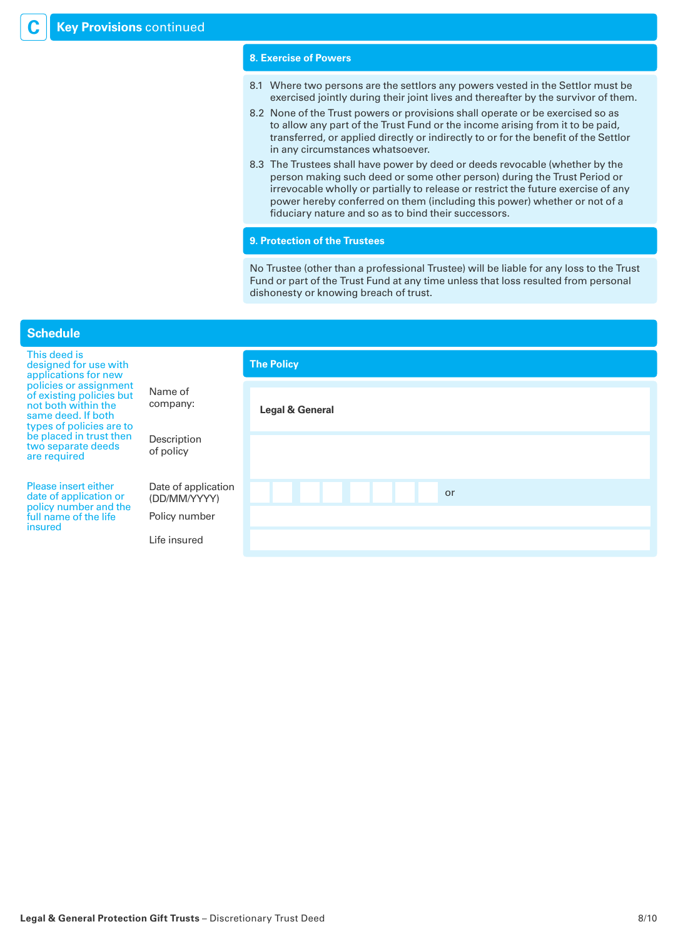### **8. Exercise of Powers**

- 8.1 Where two persons are the settlors any powers vested in the Settlor must be exercised jointly during their joint lives and thereafter by the survivor of them.
- 8.2 None of the Trust powers or provisions shall operate or be exercised so as to allow any part of the Trust Fund or the income arising from it to be paid, transferred, or applied directly or indirectly to or for the benefit of the Settlor in any circumstances whatsoever.
- 8.3 The Trustees shall have power by deed or deeds revocable (whether by the person making such deed or some other person) during the Trust Period or irrevocable wholly or partially to release or restrict the future exercise of any power hereby conferred on them (including this power) whether or not of a fiduciary nature and so as to bind their successors.

#### **9. Protection of the Trustees**

No Trustee (other than a professional Trustee) will be liable for any loss to the Trust Fund or part of the Trust Fund at any time unless that loss resulted from personal dishonesty or knowing breach of trust.

| <b>Schedule</b>                                                                                                             |                                     |                   |
|-----------------------------------------------------------------------------------------------------------------------------|-------------------------------------|-------------------|
| This deed is<br>designed for use with<br>applications for new                                                               |                                     | <b>The Policy</b> |
| policies or assignment<br>of existing policies but<br>not both within the<br>same deed. If both<br>types of policies are to | Name of<br>company:                 | Legal & General   |
| be placed in trust then<br>two separate deeds<br>are required                                                               | Description<br>of policy            |                   |
| Please insert either<br>date of application or<br>policy number and the                                                     | Date of application<br>(DD/MM/YYYY) | or                |
| full name of the life<br>insured                                                                                            | Policy number                       |                   |
|                                                                                                                             | Life insured                        |                   |
|                                                                                                                             |                                     |                   |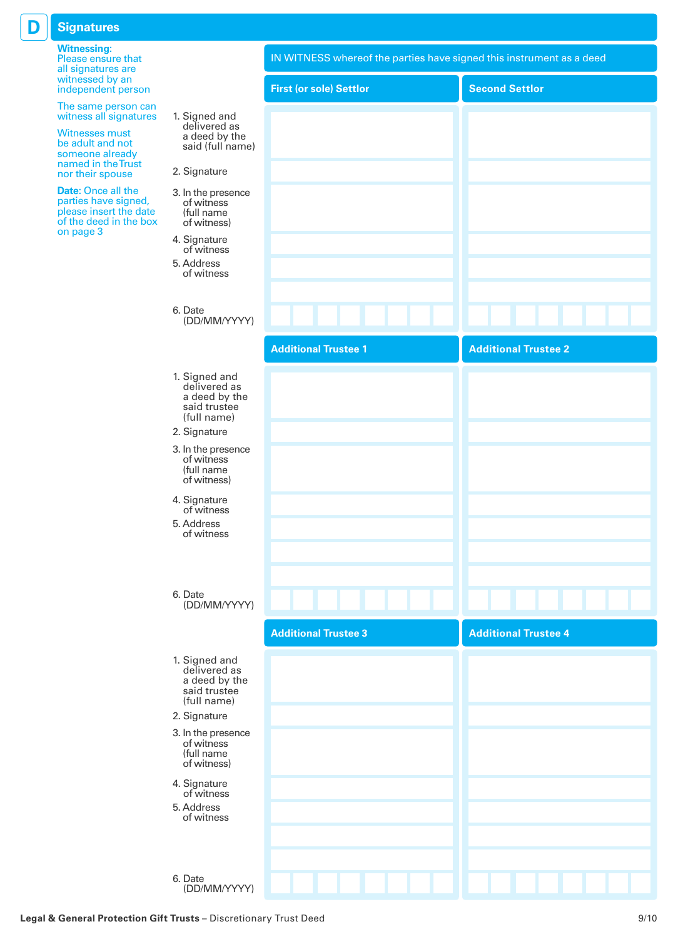# **D Signatures**